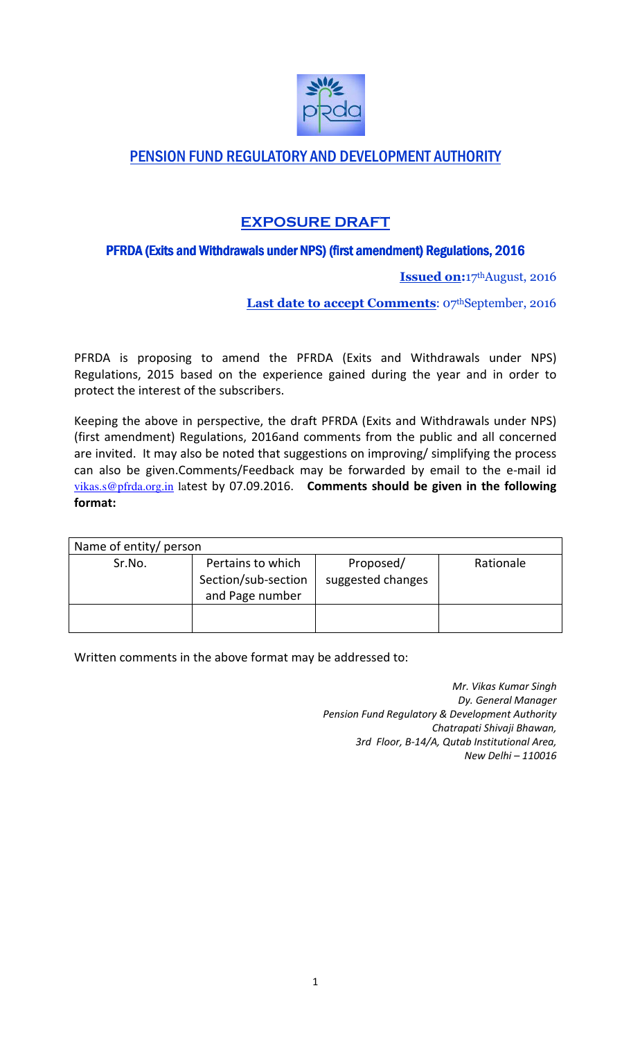

# PENSION FUND REGULATORY AND DEVELOPMENT AUTHORITY

## **EXPOSURE DRAFT**

## PFRDA (Exits and Withdrawals under NPS) (first amendment) Regulations, 2016

**Issued on:**17thAugust, 2016

**Last date to accept Comments: 07thSeptember, 2016** 

PFRDA is proposing to amend the PFRDA (Exits and Withdrawals under NPS) Regulations, 2015 based on the experience gained during the year and in order to protect the interest of the subscribers.

Keeping the above in perspective, the draft PFRDA (Exits and Withdrawals under NPS) (first amendment) Regulations, 2016and comments from the public and all concerned are invited. It may also be noted that suggestions on improving/ simplifying the process can also be given.Comments/Feedback may be forwarded by email to the e-mail id vikas.s@pfrda.org.in latest by 07.09.2016. **Comments should be given in the following format:** 

| Name of entity/ person |                                                             |                                |           |
|------------------------|-------------------------------------------------------------|--------------------------------|-----------|
| Sr.No.                 | Pertains to which<br>Section/sub-section<br>and Page number | Proposed/<br>suggested changes | Rationale |
|                        |                                                             |                                |           |

Written comments in the above format may be addressed to:

*Mr. Vikas Kumar Singh Dy. General Manager Pension Fund Regulatory & Development Authority Chatrapati Shivaji Bhawan, 3rd Floor, B-14/A, Qutab Institutional Area, New Delhi – 110016*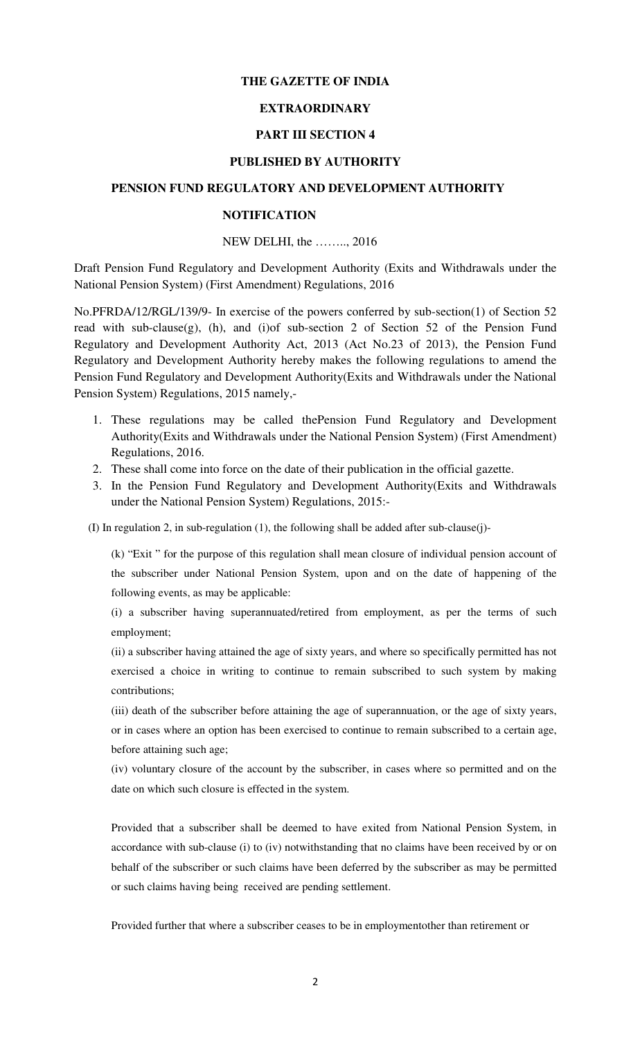#### **THE GAZETTE OF INDIA**

## **EXTRAORDINARY**

#### **PART III SECTION 4**

## **PUBLISHED BY AUTHORITY**

#### **PENSION FUND REGULATORY AND DEVELOPMENT AUTHORITY**

### **NOTIFICATION**

#### NEW DELHI, the …….., 2016

Draft Pension Fund Regulatory and Development Authority (Exits and Withdrawals under the National Pension System) (First Amendment) Regulations, 2016

No.PFRDA/12/RGL/139/9- In exercise of the powers conferred by sub-section(1) of Section 52 read with sub-clause(g), (h), and (i)of sub-section 2 of Section 52 of the Pension Fund Regulatory and Development Authority Act, 2013 (Act No.23 of 2013), the Pension Fund Regulatory and Development Authority hereby makes the following regulations to amend the Pension Fund Regulatory and Development Authority(Exits and Withdrawals under the National Pension System) Regulations, 2015 namely,-

- 1. These regulations may be called thePension Fund Regulatory and Development Authority(Exits and Withdrawals under the National Pension System) (First Amendment) Regulations, 2016.
- 2. These shall come into force on the date of their publication in the official gazette.
- 3. In the Pension Fund Regulatory and Development Authority(Exits and Withdrawals under the National Pension System) Regulations, 2015:-

(I) In regulation 2, in sub-regulation (1), the following shall be added after sub-clause(j)-

(k) "Exit " for the purpose of this regulation shall mean closure of individual pension account of the subscriber under National Pension System, upon and on the date of happening of the following events, as may be applicable:

(i) a subscriber having superannuated/retired from employment, as per the terms of such employment;

(ii) a subscriber having attained the age of sixty years, and where so specifically permitted has not exercised a choice in writing to continue to remain subscribed to such system by making contributions;

(iii) death of the subscriber before attaining the age of superannuation, or the age of sixty years, or in cases where an option has been exercised to continue to remain subscribed to a certain age, before attaining such age;

(iv) voluntary closure of the account by the subscriber, in cases where so permitted and on the date on which such closure is effected in the system.

Provided that a subscriber shall be deemed to have exited from National Pension System, in accordance with sub-clause (i) to (iv) notwithstanding that no claims have been received by or on behalf of the subscriber or such claims have been deferred by the subscriber as may be permitted or such claims having being received are pending settlement.

Provided further that where a subscriber ceases to be in employmentother than retirement or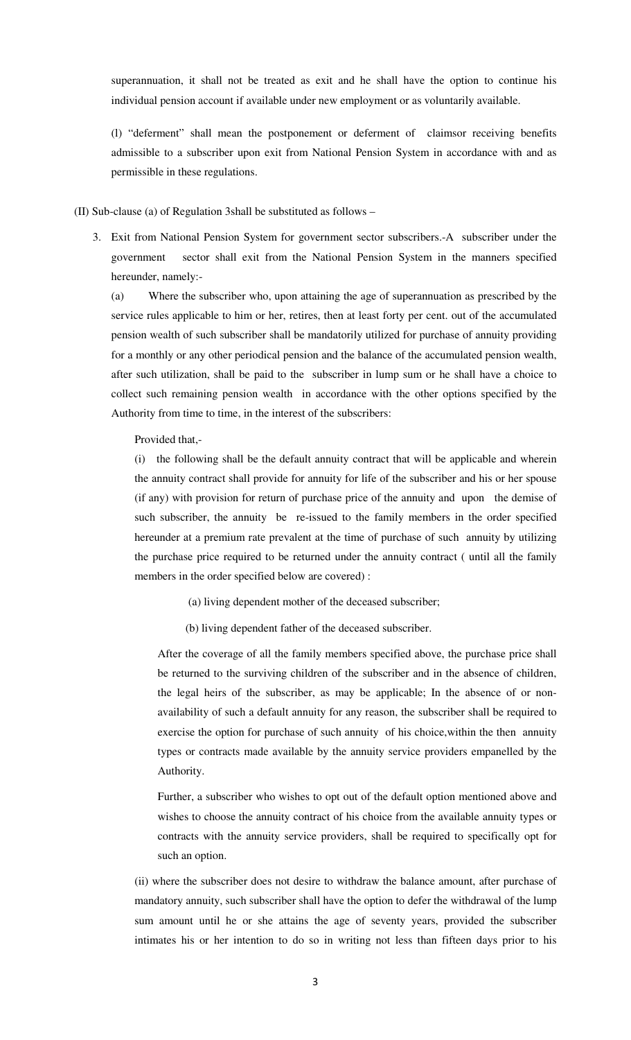superannuation, it shall not be treated as exit and he shall have the option to continue his individual pension account if available under new employment or as voluntarily available.

(l) "deferment" shall mean the postponement or deferment of claimsor receiving benefits admissible to a subscriber upon exit from National Pension System in accordance with and as permissible in these regulations.

(II) Sub-clause (a) of Regulation 3shall be substituted as follows –

3. Exit from National Pension System for government sector subscribers.-A subscriber under the government sector shall exit from the National Pension System in the manners specified hereunder, namely:-

(a) Where the subscriber who, upon attaining the age of superannuation as prescribed by the service rules applicable to him or her, retires, then at least forty per cent. out of the accumulated pension wealth of such subscriber shall be mandatorily utilized for purchase of annuity providing for a monthly or any other periodical pension and the balance of the accumulated pension wealth, after such utilization, shall be paid to the subscriber in lump sum or he shall have a choice to collect such remaining pension wealth in accordance with the other options specified by the Authority from time to time, in the interest of the subscribers:

Provided that,-

(i) the following shall be the default annuity contract that will be applicable and wherein the annuity contract shall provide for annuity for life of the subscriber and his or her spouse (if any) with provision for return of purchase price of the annuity and upon the demise of such subscriber, the annuity be re-issued to the family members in the order specified hereunder at a premium rate prevalent at the time of purchase of such annuity by utilizing the purchase price required to be returned under the annuity contract ( until all the family members in the order specified below are covered) :

(a) living dependent mother of the deceased subscriber;

(b) living dependent father of the deceased subscriber.

After the coverage of all the family members specified above, the purchase price shall be returned to the surviving children of the subscriber and in the absence of children, the legal heirs of the subscriber, as may be applicable; In the absence of or nonavailability of such a default annuity for any reason, the subscriber shall be required to exercise the option for purchase of such annuity of his choice,within the then annuity types or contracts made available by the annuity service providers empanelled by the Authority.

Further, a subscriber who wishes to opt out of the default option mentioned above and wishes to choose the annuity contract of his choice from the available annuity types or contracts with the annuity service providers, shall be required to specifically opt for such an option.

(ii) where the subscriber does not desire to withdraw the balance amount, after purchase of mandatory annuity, such subscriber shall have the option to defer the withdrawal of the lump sum amount until he or she attains the age of seventy years, provided the subscriber intimates his or her intention to do so in writing not less than fifteen days prior to his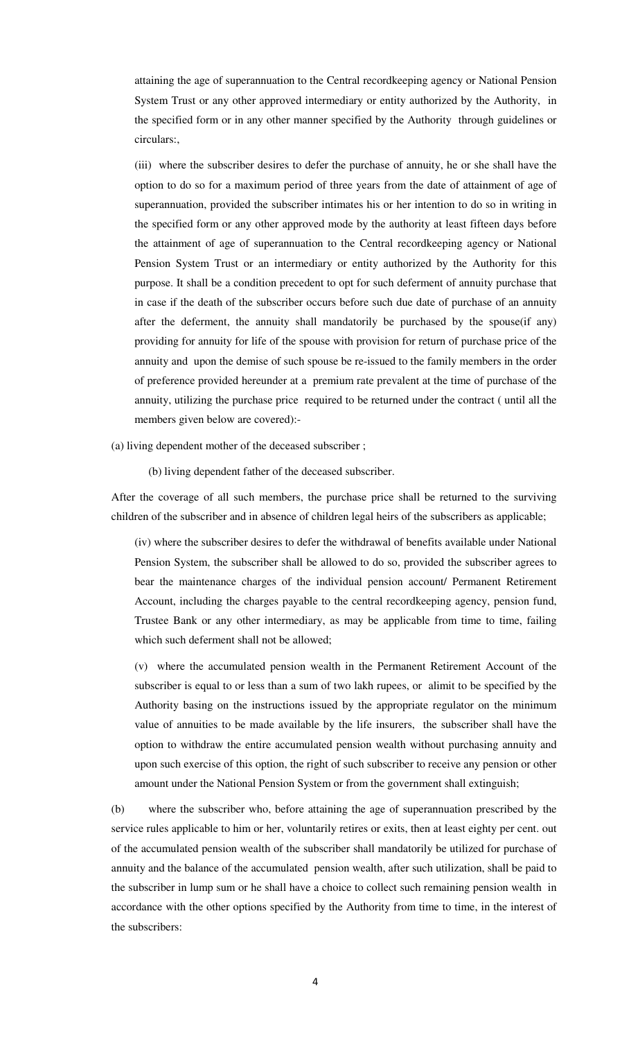attaining the age of superannuation to the Central recordkeeping agency or National Pension System Trust or any other approved intermediary or entity authorized by the Authority, in the specified form or in any other manner specified by the Authority through guidelines or circulars:,

(iii) where the subscriber desires to defer the purchase of annuity, he or she shall have the option to do so for a maximum period of three years from the date of attainment of age of superannuation, provided the subscriber intimates his or her intention to do so in writing in the specified form or any other approved mode by the authority at least fifteen days before the attainment of age of superannuation to the Central recordkeeping agency or National Pension System Trust or an intermediary or entity authorized by the Authority for this purpose. It shall be a condition precedent to opt for such deferment of annuity purchase that in case if the death of the subscriber occurs before such due date of purchase of an annuity after the deferment, the annuity shall mandatorily be purchased by the spouse(if any) providing for annuity for life of the spouse with provision for return of purchase price of the annuity and upon the demise of such spouse be re-issued to the family members in the order of preference provided hereunder at a premium rate prevalent at the time of purchase of the annuity, utilizing the purchase price required to be returned under the contract ( until all the members given below are covered):-

(a) living dependent mother of the deceased subscriber ;

(b) living dependent father of the deceased subscriber.

After the coverage of all such members, the purchase price shall be returned to the surviving children of the subscriber and in absence of children legal heirs of the subscribers as applicable;

(iv) where the subscriber desires to defer the withdrawal of benefits available under National Pension System, the subscriber shall be allowed to do so, provided the subscriber agrees to bear the maintenance charges of the individual pension account/ Permanent Retirement Account, including the charges payable to the central recordkeeping agency, pension fund, Trustee Bank or any other intermediary, as may be applicable from time to time, failing which such deferment shall not be allowed;

(v) where the accumulated pension wealth in the Permanent Retirement Account of the subscriber is equal to or less than a sum of two lakh rupees, or alimit to be specified by the Authority basing on the instructions issued by the appropriate regulator on the minimum value of annuities to be made available by the life insurers, the subscriber shall have the option to withdraw the entire accumulated pension wealth without purchasing annuity and upon such exercise of this option, the right of such subscriber to receive any pension or other amount under the National Pension System or from the government shall extinguish;

(b) where the subscriber who, before attaining the age of superannuation prescribed by the service rules applicable to him or her, voluntarily retires or exits, then at least eighty per cent. out of the accumulated pension wealth of the subscriber shall mandatorily be utilized for purchase of annuity and the balance of the accumulated pension wealth, after such utilization, shall be paid to the subscriber in lump sum or he shall have a choice to collect such remaining pension wealth in accordance with the other options specified by the Authority from time to time, in the interest of the subscribers: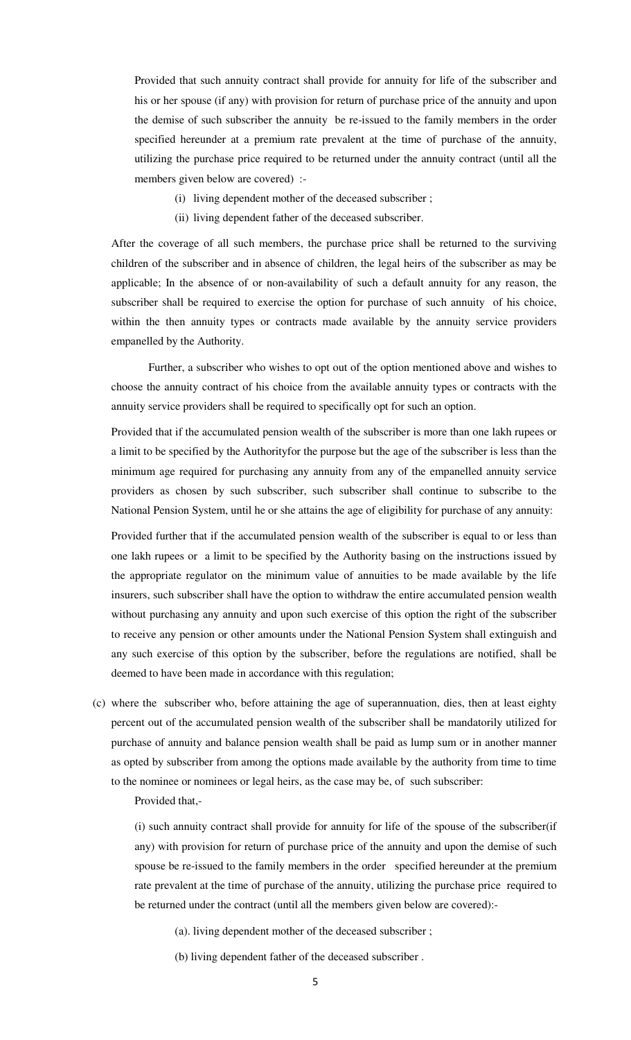Provided that such annuity contract shall provide for annuity for life of the subscriber and his or her spouse (if any) with provision for return of purchase price of the annuity and upon the demise of such subscriber the annuity be re-issued to the family members in the order specified hereunder at a premium rate prevalent at the time of purchase of the annuity, utilizing the purchase price required to be returned under the annuity contract (until all the members given below are covered) :-

- (i) living dependent mother of the deceased subscriber ;
- (ii) living dependent father of the deceased subscriber.

After the coverage of all such members, the purchase price shall be returned to the surviving children of the subscriber and in absence of children, the legal heirs of the subscriber as may be applicable; In the absence of or non-availability of such a default annuity for any reason, the subscriber shall be required to exercise the option for purchase of such annuity of his choice, within the then annuity types or contracts made available by the annuity service providers empanelled by the Authority.

 Further, a subscriber who wishes to opt out of the option mentioned above and wishes to choose the annuity contract of his choice from the available annuity types or contracts with the annuity service providers shall be required to specifically opt for such an option.

Provided that if the accumulated pension wealth of the subscriber is more than one lakh rupees or a limit to be specified by the Authorityfor the purpose but the age of the subscriber is less than the minimum age required for purchasing any annuity from any of the empanelled annuity service providers as chosen by such subscriber, such subscriber shall continue to subscribe to the National Pension System, until he or she attains the age of eligibility for purchase of any annuity:

Provided further that if the accumulated pension wealth of the subscriber is equal to or less than one lakh rupees or a limit to be specified by the Authority basing on the instructions issued by the appropriate regulator on the minimum value of annuities to be made available by the life insurers, such subscriber shall have the option to withdraw the entire accumulated pension wealth without purchasing any annuity and upon such exercise of this option the right of the subscriber to receive any pension or other amounts under the National Pension System shall extinguish and any such exercise of this option by the subscriber, before the regulations are notified, shall be deemed to have been made in accordance with this regulation;

(c) where the subscriber who, before attaining the age of superannuation, dies, then at least eighty percent out of the accumulated pension wealth of the subscriber shall be mandatorily utilized for purchase of annuity and balance pension wealth shall be paid as lump sum or in another manner as opted by subscriber from among the options made available by the authority from time to time to the nominee or nominees or legal heirs, as the case may be, of such subscriber:

Provided that,-

(i) such annuity contract shall provide for annuity for life of the spouse of the subscriber(if any) with provision for return of purchase price of the annuity and upon the demise of such spouse be re-issued to the family members in the order specified hereunder at the premium rate prevalent at the time of purchase of the annuity, utilizing the purchase price required to be returned under the contract (until all the members given below are covered):-

(a). living dependent mother of the deceased subscriber ;

(b) living dependent father of the deceased subscriber .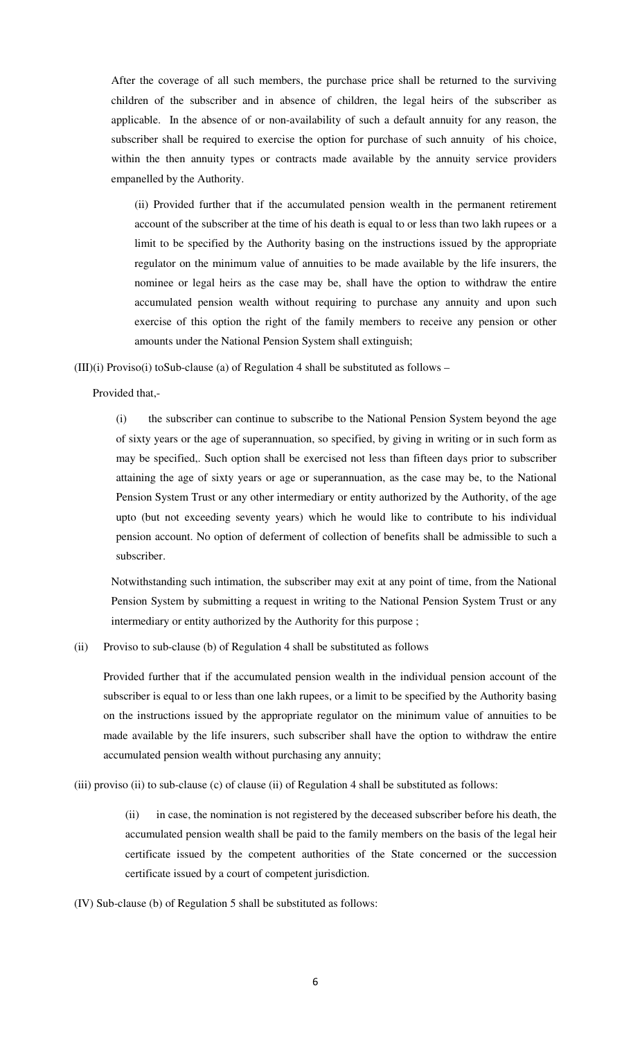After the coverage of all such members, the purchase price shall be returned to the surviving children of the subscriber and in absence of children, the legal heirs of the subscriber as applicable. In the absence of or non-availability of such a default annuity for any reason, the subscriber shall be required to exercise the option for purchase of such annuity of his choice, within the then annuity types or contracts made available by the annuity service providers empanelled by the Authority.

(ii) Provided further that if the accumulated pension wealth in the permanent retirement account of the subscriber at the time of his death is equal to or less than two lakh rupees or a limit to be specified by the Authority basing on the instructions issued by the appropriate regulator on the minimum value of annuities to be made available by the life insurers, the nominee or legal heirs as the case may be, shall have the option to withdraw the entire accumulated pension wealth without requiring to purchase any annuity and upon such exercise of this option the right of the family members to receive any pension or other amounts under the National Pension System shall extinguish;

 $(III)(i)$  Proviso(i) toSub-clause (a) of Regulation 4 shall be substituted as follows –

Provided that,-

(i) the subscriber can continue to subscribe to the National Pension System beyond the age of sixty years or the age of superannuation, so specified, by giving in writing or in such form as may be specified,. Such option shall be exercised not less than fifteen days prior to subscriber attaining the age of sixty years or age or superannuation, as the case may be, to the National Pension System Trust or any other intermediary or entity authorized by the Authority, of the age upto (but not exceeding seventy years) which he would like to contribute to his individual pension account. No option of deferment of collection of benefits shall be admissible to such a subscriber.

Notwithstanding such intimation, the subscriber may exit at any point of time, from the National Pension System by submitting a request in writing to the National Pension System Trust or any intermediary or entity authorized by the Authority for this purpose ;

(ii) Proviso to sub-clause (b) of Regulation 4 shall be substituted as follows

Provided further that if the accumulated pension wealth in the individual pension account of the subscriber is equal to or less than one lakh rupees, or a limit to be specified by the Authority basing on the instructions issued by the appropriate regulator on the minimum value of annuities to be made available by the life insurers, such subscriber shall have the option to withdraw the entire accumulated pension wealth without purchasing any annuity;

(iii) proviso (ii) to sub-clause (c) of clause (ii) of Regulation 4 shall be substituted as follows:

(ii) in case, the nomination is not registered by the deceased subscriber before his death, the accumulated pension wealth shall be paid to the family members on the basis of the legal heir certificate issued by the competent authorities of the State concerned or the succession certificate issued by a court of competent jurisdiction.

(IV) Sub-clause (b) of Regulation 5 shall be substituted as follows: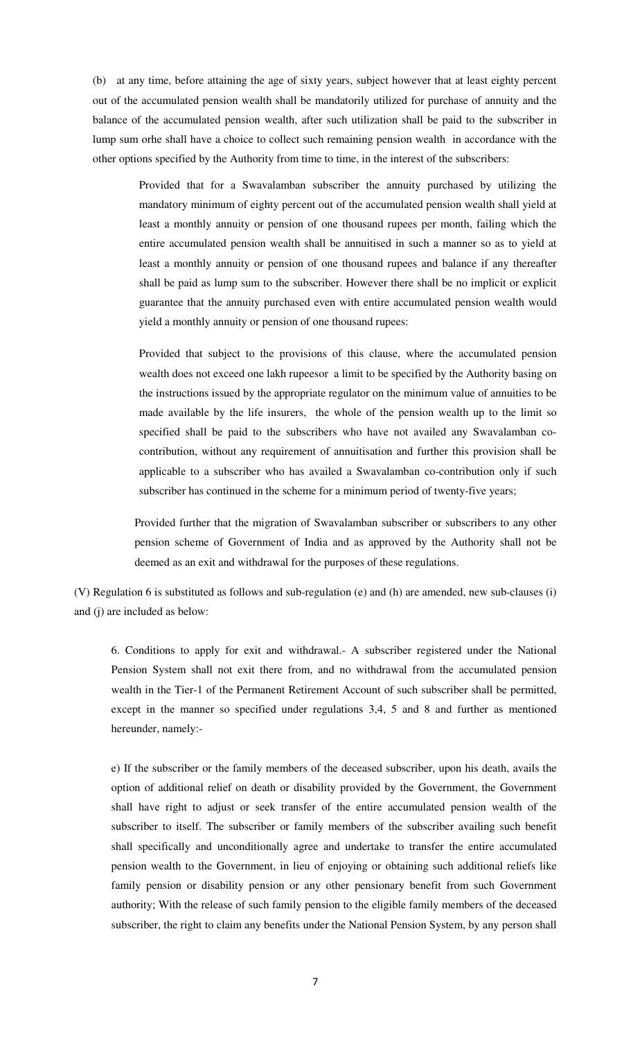(b) at any time, before attaining the age of sixty years, subject however that at least eighty percent out of the accumulated pension wealth shall be mandatorily utilized for purchase of annuity and the balance of the accumulated pension wealth, after such utilization shall be paid to the subscriber in lump sum orhe shall have a choice to collect such remaining pension wealth in accordance with the other options specified by the Authority from time to time, in the interest of the subscribers:

Provided that for a Swavalamban subscriber the annuity purchased by utilizing the mandatory minimum of eighty percent out of the accumulated pension wealth shall yield at least a monthly annuity or pension of one thousand rupees per month, failing which the entire accumulated pension wealth shall be annuitised in such a manner so as to yield at least a monthly annuity or pension of one thousand rupees and balance if any thereafter shall be paid as lump sum to the subscriber. However there shall be no implicit or explicit guarantee that the annuity purchased even with entire accumulated pension wealth would yield a monthly annuity or pension of one thousand rupees:

 Provided that subject to the provisions of this clause, where the accumulated pension wealth does not exceed one lakh rupeesor a limit to be specified by the Authority basing on the instructions issued by the appropriate regulator on the minimum value of annuities to be made available by the life insurers, the whole of the pension wealth up to the limit so specified shall be paid to the subscribers who have not availed any Swavalamban cocontribution, without any requirement of annuitisation and further this provision shall be applicable to a subscriber who has availed a Swavalamban co-contribution only if such subscriber has continued in the scheme for a minimum period of twenty-five years;

Provided further that the migration of Swavalamban subscriber or subscribers to any other pension scheme of Government of India and as approved by the Authority shall not be deemed as an exit and withdrawal for the purposes of these regulations.

(V) Regulation 6 is substituted as follows and sub-regulation (e) and (h) are amended, new sub-clauses (i) and (j) are included as below:

6. Conditions to apply for exit and withdrawal.- A subscriber registered under the National Pension System shall not exit there from, and no withdrawal from the accumulated pension wealth in the Tier-1 of the Permanent Retirement Account of such subscriber shall be permitted, except in the manner so specified under regulations 3,4, 5 and 8 and further as mentioned hereunder, namely:-

e) If the subscriber or the family members of the deceased subscriber, upon his death, avails the option of additional relief on death or disability provided by the Government, the Government shall have right to adjust or seek transfer of the entire accumulated pension wealth of the subscriber to itself. The subscriber or family members of the subscriber availing such benefit shall specifically and unconditionally agree and undertake to transfer the entire accumulated pension wealth to the Government, in lieu of enjoying or obtaining such additional reliefs like family pension or disability pension or any other pensionary benefit from such Government authority; With the release of such family pension to the eligible family members of the deceased subscriber, the right to claim any benefits under the National Pension System, by any person shall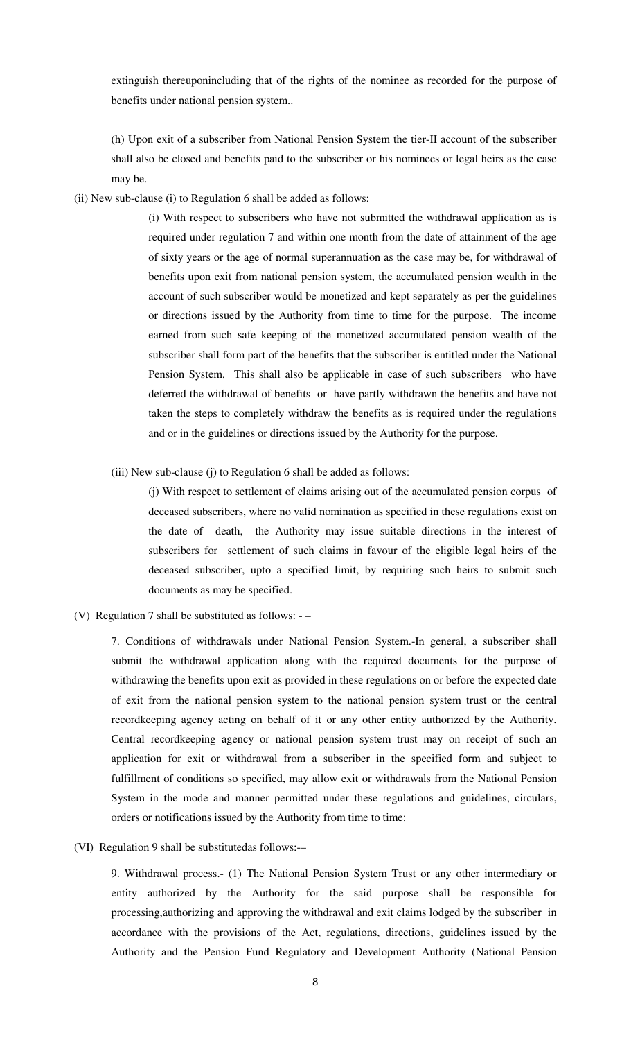extinguish thereuponincluding that of the rights of the nominee as recorded for the purpose of benefits under national pension system..

(h) Upon exit of a subscriber from National Pension System the tier-II account of the subscriber shall also be closed and benefits paid to the subscriber or his nominees or legal heirs as the case may be.

(ii) New sub-clause (i) to Regulation 6 shall be added as follows:

(i) With respect to subscribers who have not submitted the withdrawal application as is required under regulation 7 and within one month from the date of attainment of the age of sixty years or the age of normal superannuation as the case may be, for withdrawal of benefits upon exit from national pension system, the accumulated pension wealth in the account of such subscriber would be monetized and kept separately as per the guidelines or directions issued by the Authority from time to time for the purpose. The income earned from such safe keeping of the monetized accumulated pension wealth of the subscriber shall form part of the benefits that the subscriber is entitled under the National Pension System. This shall also be applicable in case of such subscribers who have deferred the withdrawal of benefits or have partly withdrawn the benefits and have not taken the steps to completely withdraw the benefits as is required under the regulations and or in the guidelines or directions issued by the Authority for the purpose.

(iii) New sub-clause (j) to Regulation 6 shall be added as follows:

(j) With respect to settlement of claims arising out of the accumulated pension corpus of deceased subscribers, where no valid nomination as specified in these regulations exist on the date of death, the Authority may issue suitable directions in the interest of subscribers for settlement of such claims in favour of the eligible legal heirs of the deceased subscriber, upto a specified limit, by requiring such heirs to submit such documents as may be specified.

(V) Regulation 7 shall be substituted as follows: - –

7. Conditions of withdrawals under National Pension System.-In general, a subscriber shall submit the withdrawal application along with the required documents for the purpose of withdrawing the benefits upon exit as provided in these regulations on or before the expected date of exit from the national pension system to the national pension system trust or the central recordkeeping agency acting on behalf of it or any other entity authorized by the Authority. Central recordkeeping agency or national pension system trust may on receipt of such an application for exit or withdrawal from a subscriber in the specified form and subject to fulfillment of conditions so specified, may allow exit or withdrawals from the National Pension System in the mode and manner permitted under these regulations and guidelines, circulars, orders or notifications issued by the Authority from time to time:

(VI) Regulation 9 shall be substitutedas follows:-–

9. Withdrawal process.- (1) The National Pension System Trust or any other intermediary or entity authorized by the Authority for the said purpose shall be responsible for processing,authorizing and approving the withdrawal and exit claims lodged by the subscriber in accordance with the provisions of the Act, regulations, directions, guidelines issued by the Authority and the Pension Fund Regulatory and Development Authority (National Pension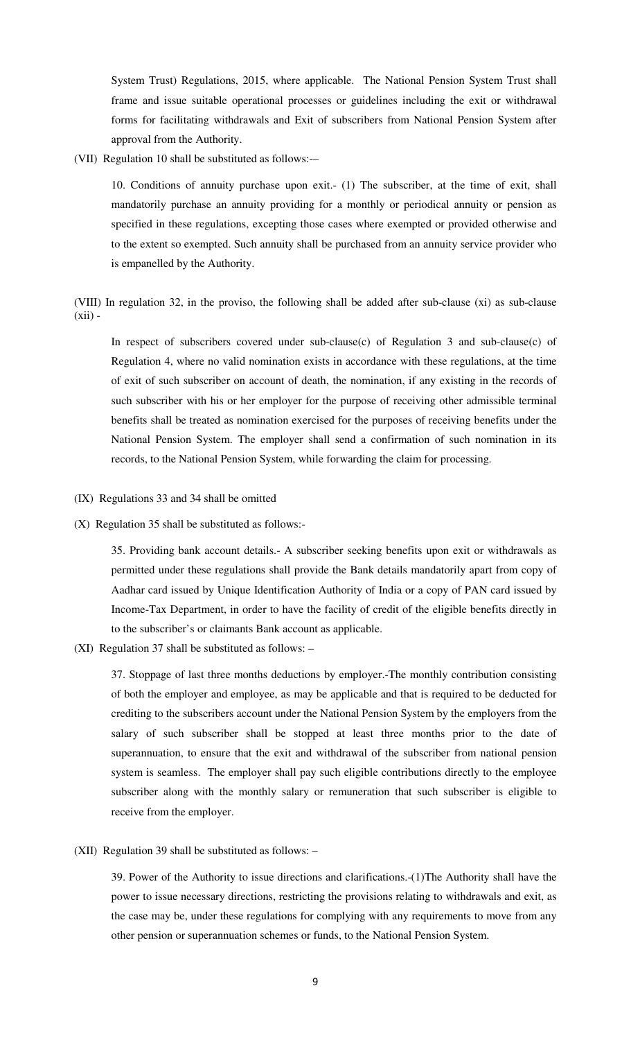System Trust) Regulations, 2015, where applicable. The National Pension System Trust shall frame and issue suitable operational processes or guidelines including the exit or withdrawal forms for facilitating withdrawals and Exit of subscribers from National Pension System after approval from the Authority.

(VII) Regulation 10 shall be substituted as follows:-–

10. Conditions of annuity purchase upon exit.- (1) The subscriber, at the time of exit, shall mandatorily purchase an annuity providing for a monthly or periodical annuity or pension as specified in these regulations, excepting those cases where exempted or provided otherwise and to the extent so exempted. Such annuity shall be purchased from an annuity service provider who is empanelled by the Authority.

(VIII) In regulation 32, in the proviso, the following shall be added after sub-clause (xi) as sub-clause  $(xii)$  -

In respect of subscribers covered under sub-clause(c) of Regulation 3 and sub-clause(c) of Regulation 4, where no valid nomination exists in accordance with these regulations, at the time of exit of such subscriber on account of death, the nomination, if any existing in the records of such subscriber with his or her employer for the purpose of receiving other admissible terminal benefits shall be treated as nomination exercised for the purposes of receiving benefits under the National Pension System. The employer shall send a confirmation of such nomination in its records, to the National Pension System, while forwarding the claim for processing.

- (IX) Regulations 33 and 34 shall be omitted
- (X) Regulation 35 shall be substituted as follows:-

35. Providing bank account details.- A subscriber seeking benefits upon exit or withdrawals as permitted under these regulations shall provide the Bank details mandatorily apart from copy of Aadhar card issued by Unique Identification Authority of India or a copy of PAN card issued by Income-Tax Department, in order to have the facility of credit of the eligible benefits directly in to the subscriber's or claimants Bank account as applicable.

(XI) Regulation 37 shall be substituted as follows: –

37. Stoppage of last three months deductions by employer.-The monthly contribution consisting of both the employer and employee, as may be applicable and that is required to be deducted for crediting to the subscribers account under the National Pension System by the employers from the salary of such subscriber shall be stopped at least three months prior to the date of superannuation, to ensure that the exit and withdrawal of the subscriber from national pension system is seamless. The employer shall pay such eligible contributions directly to the employee subscriber along with the monthly salary or remuneration that such subscriber is eligible to receive from the employer.

(XII) Regulation 39 shall be substituted as follows: –

39. Power of the Authority to issue directions and clarifications.-(1)The Authority shall have the power to issue necessary directions, restricting the provisions relating to withdrawals and exit, as the case may be, under these regulations for complying with any requirements to move from any other pension or superannuation schemes or funds, to the National Pension System.